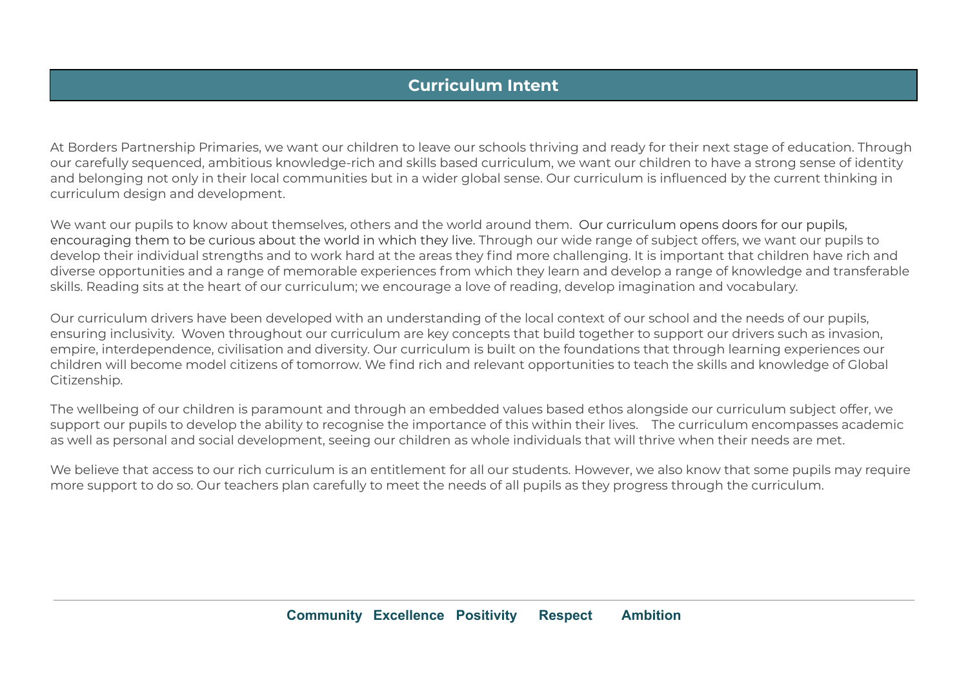## **Curriculum Intent**

At Borders Partnership Primaries, we want our children to leave our schools thriving and ready for their next stage of education. Through our carefully sequenced, ambitious knowledge-rich and skills based curriculum, we want our children to have a strong sense of identity and belonging not only in their local communities but in a wider global sense. Our curriculum is influenced by the current thinking in curriculum design and development.

We want our pupils to know about themselves, others and the world around them. Our curriculum opens doors for our pupils, encouraging them to be curious about the world in which they live. Through our wide range of subject offers, we want our pupils to develop their individual strengths and to work hard at the areas they find more challenging. It is important that children have rich and diverse opportunities and a range of memorable experiences from which they learn and develop a range of knowledge and transferable skills. Reading sits at the heart of our curriculum; we encourage a love of reading, develop imagination and vocabulary.

Our curriculum drivers have been developed with an understanding of the local context of our school and the needs of our pupils, ensuring inclusivity. Woven throughout our curriculum are key concepts that build together to support our drivers such as invasion, empire, interdependence, civilisation and diversity. Our curriculum is built on the foundations that through learning experiences our children will become model citizens of tomorrow. We find rich and relevant opportunities to teach the skills and knowledge of Global Citizenship.

The wellbeing of our children is paramount and through an embedded values based ethos alongside our curriculum subject offer, we support our pupils to develop the ability to recognise the importance of this within their lives. The curriculum encompasses academic as well as personal and social development, seeing our children as whole individuals that will thrive when their needs are met.

We believe that access to our rich curriculum is an entitlement for all our students. However, we also know that some pupils may require more support to do so. Our teachers plan carefully to meet the needs of all pupils as they progress through the curriculum.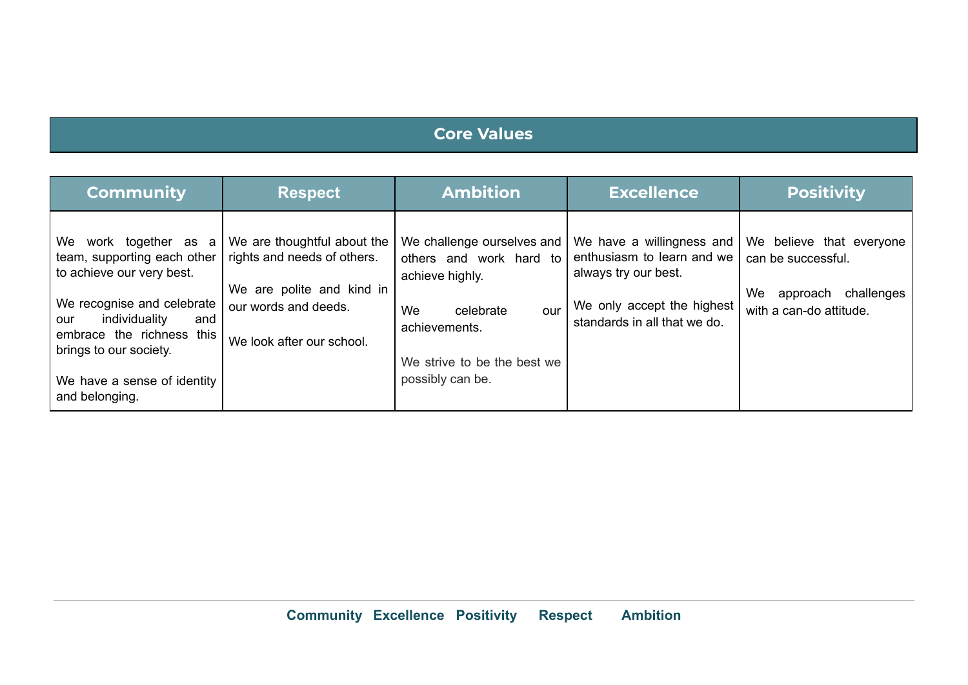## **Core Values**

| <b>Community</b>                                                                                                                                                                                                                                       | <b>Respect</b>                                                                                                                               | <b>Ambition</b>                                                                                                                                                        | <b>Excellence</b>                                                                                                                             | <b>Positivity</b>                                                                                         |
|--------------------------------------------------------------------------------------------------------------------------------------------------------------------------------------------------------------------------------------------------------|----------------------------------------------------------------------------------------------------------------------------------------------|------------------------------------------------------------------------------------------------------------------------------------------------------------------------|-----------------------------------------------------------------------------------------------------------------------------------------------|-----------------------------------------------------------------------------------------------------------|
| We work together as a<br>team, supporting each other<br>to achieve our very best.<br>We recognise and celebrate<br>individuality<br>and<br>our<br>embrace the richness this<br>brings to our society.<br>We have a sense of identity<br>and belonging. | We are thoughtful about the<br>rights and needs of others.<br>We are polite and kind in<br>our words and deeds.<br>We look after our school. | We challenge ourselves and<br>others and work hard to<br>achieve highly.<br>We<br>celebrate<br>our<br>achievements.<br>We strive to be the best we<br>possibly can be. | We have a willingness and<br>enthusiasm to learn and we<br>always try our best.<br>We only accept the highest<br>standards in all that we do. | We believe that everyone<br>can be successful.<br>We<br>approach<br>challenges<br>with a can-do attitude. |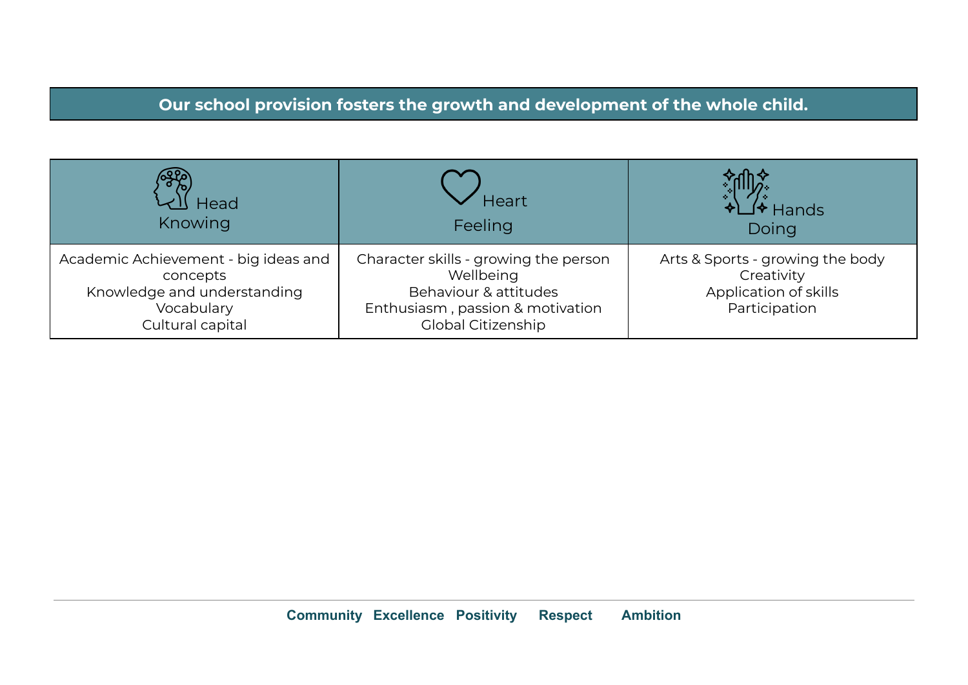## **Our school provision fosters the growth and development of the whole child.**

| Head                                                                                                              | Heart                                                                                                                                        | lands                                                                                    |
|-------------------------------------------------------------------------------------------------------------------|----------------------------------------------------------------------------------------------------------------------------------------------|------------------------------------------------------------------------------------------|
| Knowing                                                                                                           | Feeling                                                                                                                                      | Doing                                                                                    |
| Academic Achievement - big ideas and<br>concepts<br>Knowledge and understanding<br>Vocabulary<br>Cultural capital | Character skills - growing the person<br>Wellbeing<br>Behaviour & attitudes<br>Enthusiasm, passion & motivation<br><b>Global Citizenship</b> | Arts & Sports - growing the body<br>Creativity<br>Application of skills<br>Participation |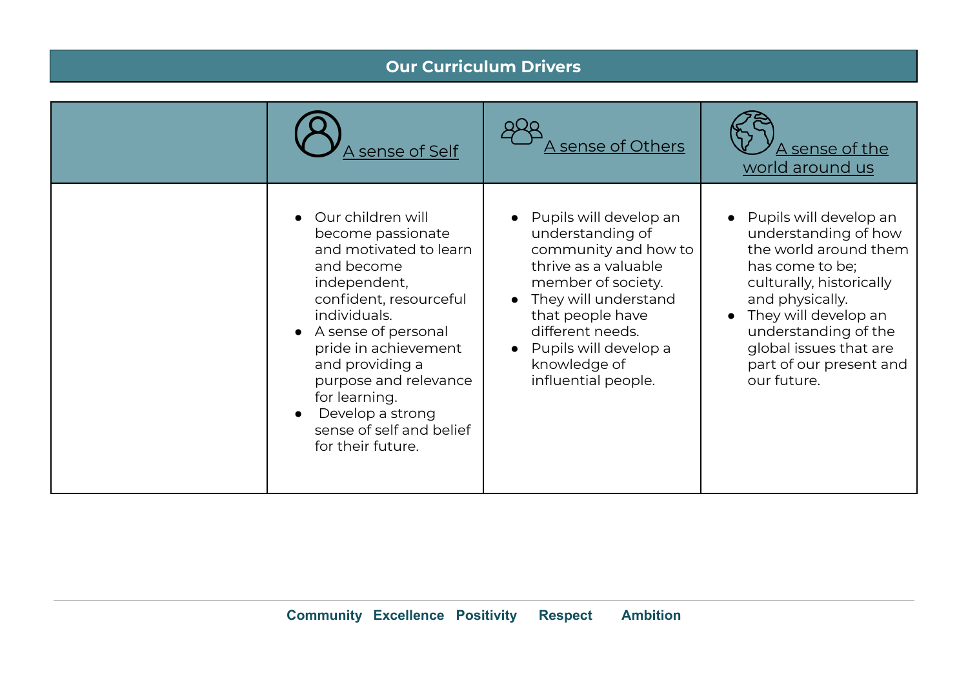|  | A sense of Self                                                                                                                                                                                                                                                                                                           | sense of Others .                                                                                                                                                                                                                                | A sense of the<br>world around us                                                                                                                                                                                                                             |  |  |
|--|---------------------------------------------------------------------------------------------------------------------------------------------------------------------------------------------------------------------------------------------------------------------------------------------------------------------------|--------------------------------------------------------------------------------------------------------------------------------------------------------------------------------------------------------------------------------------------------|---------------------------------------------------------------------------------------------------------------------------------------------------------------------------------------------------------------------------------------------------------------|--|--|
|  | Our children will<br>become passionate<br>and motivated to learn<br>and become<br>independent,<br>confident, resourceful<br>individuals.<br>A sense of personal<br>pride in achievement<br>and providing a<br>purpose and relevance<br>for learning.<br>Develop a strong<br>sense of self and belief<br>for their future. | Pupils will develop an<br>understanding of<br>community and how to<br>thrive as a valuable<br>member of society.<br>They will understand<br>that people have<br>different needs.<br>Pupils will develop a<br>knowledge of<br>influential people. | Pupils will develop an<br>understanding of how<br>the world around them<br>has come to be;<br>culturally, historically<br>and physically.<br>They will develop an<br>understanding of the<br>global issues that are<br>part of our present and<br>our future. |  |  |

**Our Curriculum Drivers**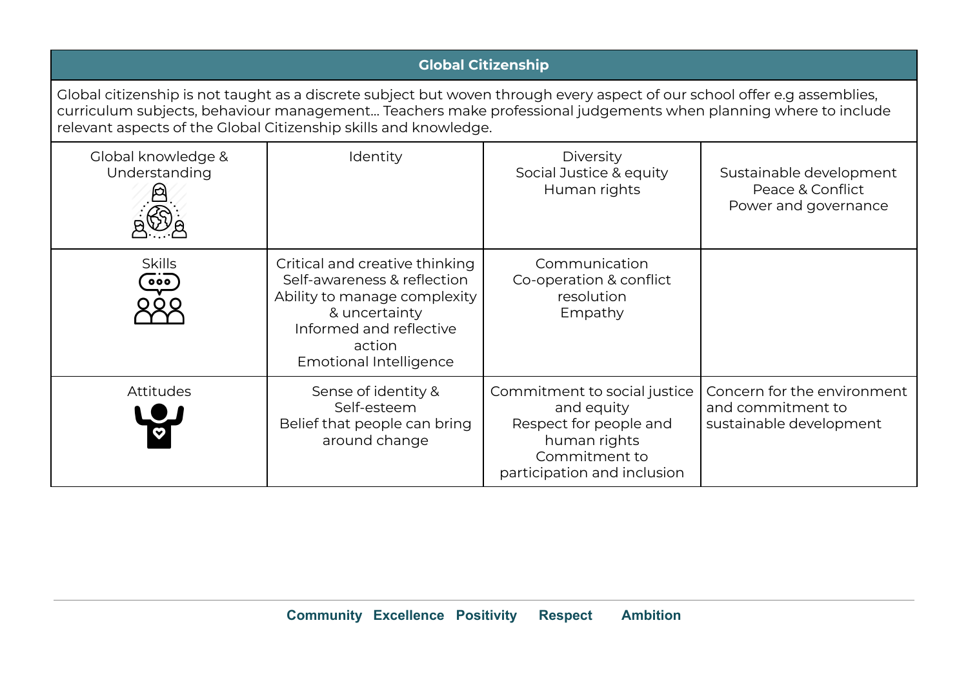| <b>Global Citizenship</b>                                                                                                                                                                                                                                                                                       |                                                                                                                                                                                      |                                                                                                                                      |                                                                             |  |
|-----------------------------------------------------------------------------------------------------------------------------------------------------------------------------------------------------------------------------------------------------------------------------------------------------------------|--------------------------------------------------------------------------------------------------------------------------------------------------------------------------------------|--------------------------------------------------------------------------------------------------------------------------------------|-----------------------------------------------------------------------------|--|
| Global citizenship is not taught as a discrete subject but woven through every aspect of our school offer e.g assemblies,<br>curriculum subjects, behaviour management Teachers make professional judgements when planning where to include<br>relevant aspects of the Global Citizenship skills and knowledge. |                                                                                                                                                                                      |                                                                                                                                      |                                                                             |  |
| Global knowledge &<br>Understanding                                                                                                                                                                                                                                                                             | Identity                                                                                                                                                                             | <b>Diversity</b><br>Social Justice & equity<br>Human rights                                                                          | Sustainable development<br>Peace & Conflict<br>Power and governance         |  |
| <b>Skills</b><br>000                                                                                                                                                                                                                                                                                            | Critical and creative thinking<br>Self-awareness & reflection<br>Ability to manage complexity<br>& uncertainty<br>Informed and reflective<br>action<br><b>Emotional Intelligence</b> | Communication<br>Co-operation & conflict<br>resolution<br>Empathy                                                                    |                                                                             |  |
| <b>Attitudes</b>                                                                                                                                                                                                                                                                                                | Sense of identity &<br>Self-esteem<br>Belief that people can bring<br>around change                                                                                                  | Commitment to social justice<br>and equity<br>Respect for people and<br>human rights<br>Commitment to<br>participation and inclusion | Concern for the environment<br>and commitment to<br>sustainable development |  |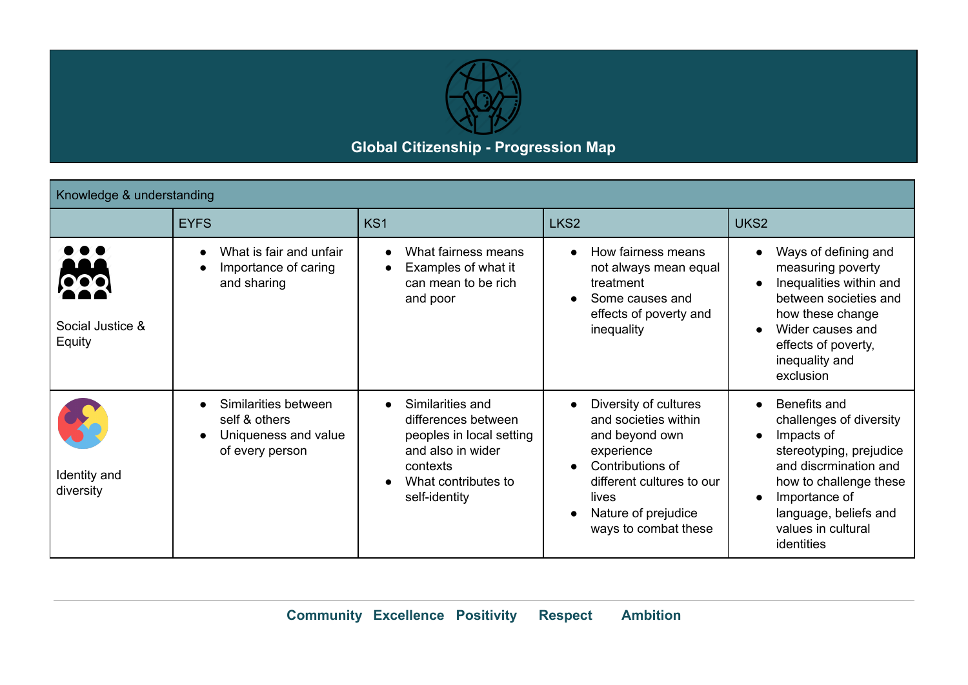

## **Global Citizenship - Progression Map**

| Knowledge & understanding  |                                                                                  |                                                                                                                                                           |                                                                                                                                                                                                     |                                                                                                                                                                                                                                             |  |
|----------------------------|----------------------------------------------------------------------------------|-----------------------------------------------------------------------------------------------------------------------------------------------------------|-----------------------------------------------------------------------------------------------------------------------------------------------------------------------------------------------------|---------------------------------------------------------------------------------------------------------------------------------------------------------------------------------------------------------------------------------------------|--|
|                            | <b>EYFS</b>                                                                      | KS <sub>1</sub>                                                                                                                                           | LKS <sub>2</sub>                                                                                                                                                                                    | UKS2                                                                                                                                                                                                                                        |  |
| Social Justice &<br>Equity | What is fair and unfair<br>Importance of caring<br>and sharing                   | What fairness means<br>$\bullet$<br>Examples of what it<br>can mean to be rich<br>and poor                                                                | How fairness means<br>$\bullet$<br>not always mean equal<br>treatment<br>Some causes and<br>$\bullet$<br>effects of poverty and<br>inequality                                                       | Ways of defining and<br>measuring poverty<br>Inequalities within and<br>between societies and<br>how these change<br>Wider causes and<br>$\bullet$<br>effects of poverty,<br>inequality and<br>exclusion                                    |  |
| Identity and<br>diversity  | Similarities between<br>self & others<br>Uniqueness and value<br>of every person | Similarities and<br>$\bullet$<br>differences between<br>peoples in local setting<br>and also in wider<br>contexts<br>What contributes to<br>self-identity | Diversity of cultures<br>$\bullet$<br>and societies within<br>and beyond own<br>experience<br>Contributions of<br>different cultures to our<br>lives<br>Nature of prejudice<br>ways to combat these | Benefits and<br>$\bullet$<br>challenges of diversity<br>Impacts of<br>$\bullet$<br>stereotyping, prejudice<br>and discrmination and<br>how to challenge these<br>Importance of<br>language, beliefs and<br>values in cultural<br>identities |  |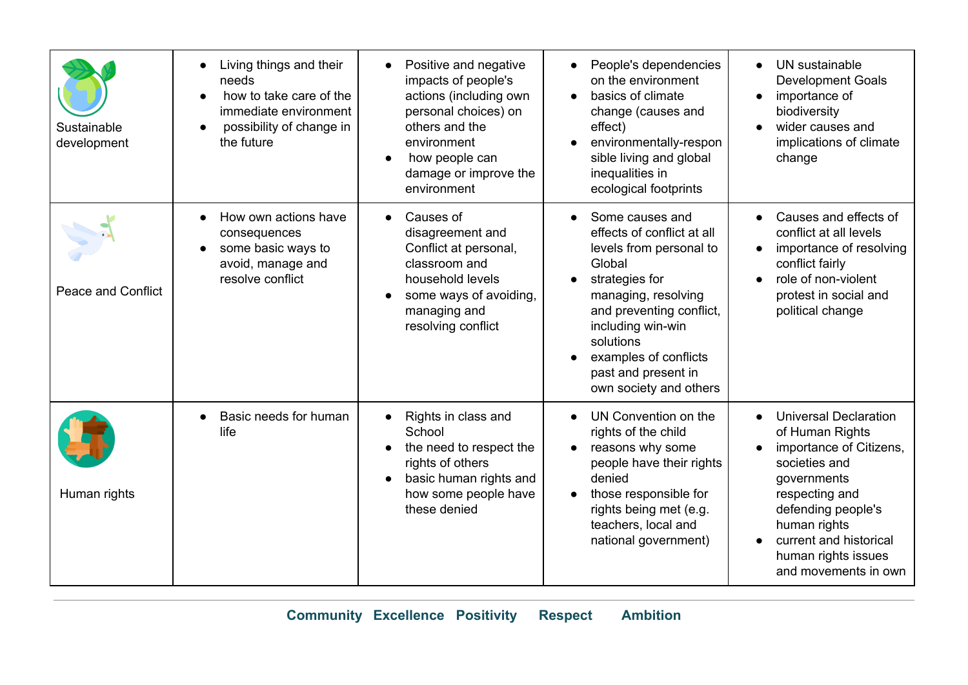| Sustainable<br>development | Living things and their<br>needs<br>how to take care of the<br>immediate environment<br>possibility of change in<br>the future | Positive and negative<br>impacts of people's<br>actions (including own<br>personal choices) on<br>others and the<br>environment<br>how people can<br>damage or improve the<br>environment | People's dependencies<br>on the environment<br>basics of climate<br>change (causes and<br>effect)<br>environmentally-respon<br>sible living and global<br>inequalities in<br>ecological footprints                                                                  | UN sustainable<br><b>Development Goals</b><br>importance of<br>biodiversity<br>wider causes and<br>implications of climate<br>change                                                                                                        |
|----------------------------|--------------------------------------------------------------------------------------------------------------------------------|-------------------------------------------------------------------------------------------------------------------------------------------------------------------------------------------|---------------------------------------------------------------------------------------------------------------------------------------------------------------------------------------------------------------------------------------------------------------------|---------------------------------------------------------------------------------------------------------------------------------------------------------------------------------------------------------------------------------------------|
| <b>Peace and Conflict</b>  | How own actions have<br>consequences<br>some basic ways to<br>avoid, manage and<br>resolve conflict                            | Causes of<br>disagreement and<br>Conflict at personal,<br>classroom and<br>household levels<br>some ways of avoiding,<br>managing and<br>resolving conflict                               | Some causes and<br>effects of conflict at all<br>levels from personal to<br>Global<br>strategies for<br>managing, resolving<br>and preventing conflict,<br>including win-win<br>solutions<br>examples of conflicts<br>past and present in<br>own society and others | Causes and effects of<br>conflict at all levels<br>importance of resolving<br>conflict fairly<br>role of non-violent<br>protest in social and<br>political change                                                                           |
| Human rights               | Basic needs for human<br>life                                                                                                  | Rights in class and<br>$\bullet$<br>School<br>the need to respect the<br>rights of others<br>basic human rights and<br>how some people have<br>these denied                               | UN Convention on the<br>rights of the child<br>reasons why some<br>people have their rights<br>denied<br>those responsible for<br>rights being met (e.g.<br>teachers, local and<br>national government)                                                             | <b>Universal Declaration</b><br>of Human Rights<br>importance of Citizens,<br>societies and<br>governments<br>respecting and<br>defending people's<br>human rights<br>current and historical<br>human rights issues<br>and movements in own |